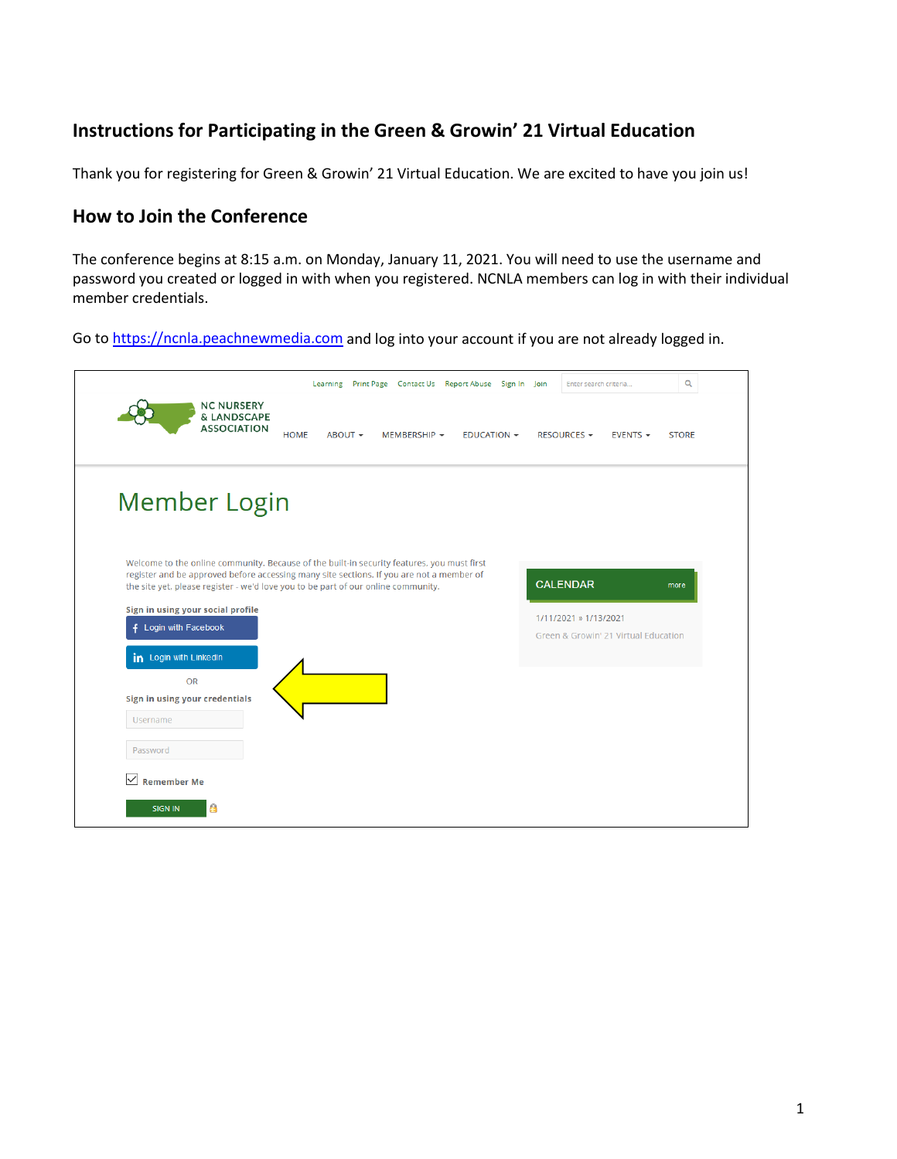# **Instructions for Participating in the Green & Growin' 21 Virtual Education**

Thank you for registering for Green & Growin' 21 Virtual Education. We are excited to have you join us!

# **How to Join the Conference**

The conference begins at 8:15 a.m. on Monday, January 11, 2021. You will need to use the username and password you created or logged in with when you registered. NCNLA members can log in with their individual member credentials.

Go t[o https://ncnla.peachnewmedia.com](https://ncnla.peachnewmedia.com/) and log into your account if you are not already logged in.

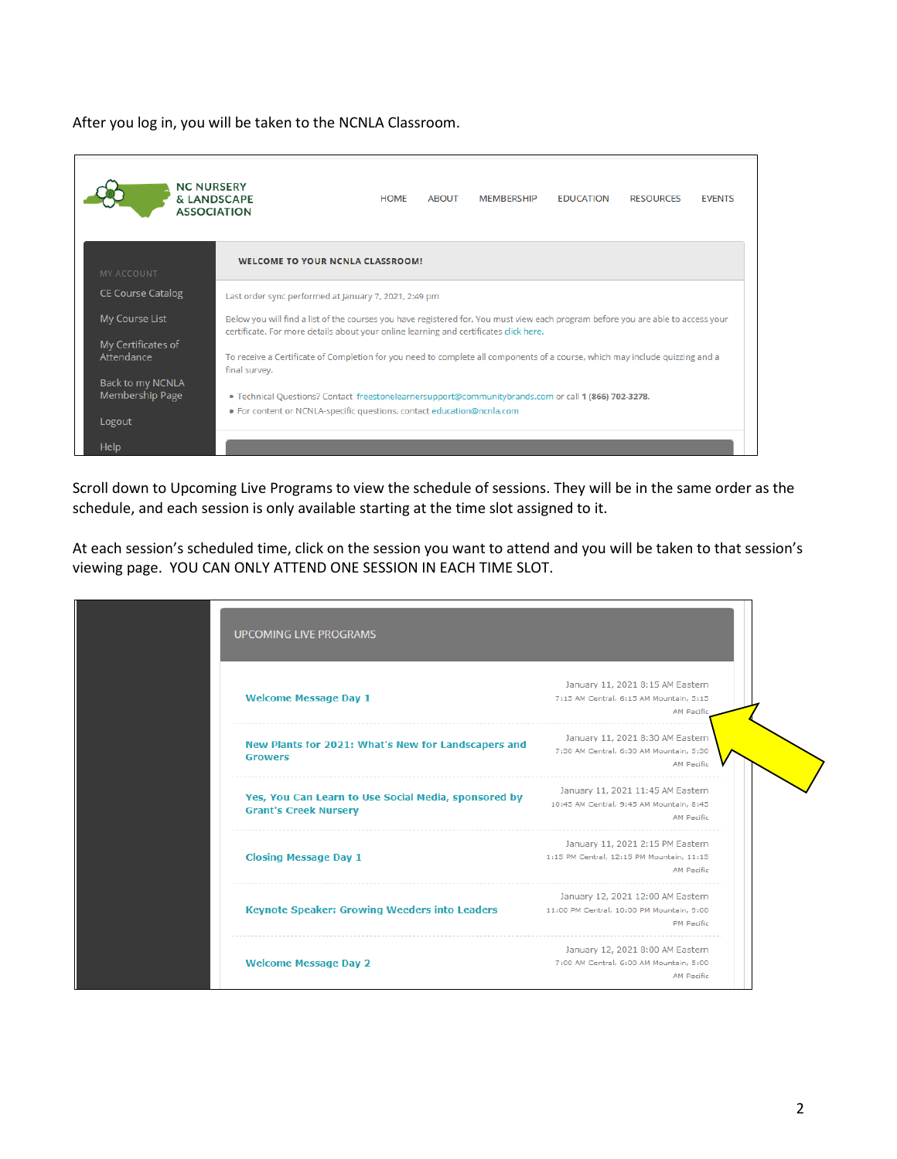After you log in, you will be taken to the NCNLA Classroom.

| <b>NC NURSERY</b>                                     | & LANDSCAPE<br><b>ASSOCIATION</b>                                                                                                                                                                                                                                                                                               | <b>HOMF</b> | <b>ABOUT</b> | <b>MEMBERSHIP</b> | <b>FDUCATION</b> | <b>RESOURCES</b> | <b>FVENTS</b> |
|-------------------------------------------------------|---------------------------------------------------------------------------------------------------------------------------------------------------------------------------------------------------------------------------------------------------------------------------------------------------------------------------------|-------------|--------------|-------------------|------------------|------------------|---------------|
| <b>WELCOME TO YOUR NCNLA CLASSROOM!</b><br>MY ACCOUNT |                                                                                                                                                                                                                                                                                                                                 |             |              |                   |                  |                  |               |
| <b>CE Course Catalog</b>                              | Last order sync performed at January 7, 2021, 2:49 pm                                                                                                                                                                                                                                                                           |             |              |                   |                  |                  |               |
| My Course List<br>My Certificates of                  | Below you will find a list of the courses you have registered for. You must view each program before you are able to access your<br>certificate. For more details about your online learning and certificates click here.                                                                                                       |             |              |                   |                  |                  |               |
| Attendance                                            | To receive a Certificate of Completion for you need to complete all components of a course, which may include quizzing and a<br>final survey.<br>. Technical Questions? Contact freestonelearnersupport@communitybrands.com or call 1 (866) 702-3278.<br>. For content or NCNLA-specific questions, contact education@ncnla.com |             |              |                   |                  |                  |               |
| Back to my NCNLA<br>Membership Page<br>Logout         |                                                                                                                                                                                                                                                                                                                                 |             |              |                   |                  |                  |               |
| Help                                                  |                                                                                                                                                                                                                                                                                                                                 |             |              |                   |                  |                  |               |

Scroll down to Upcoming Live Programs to view the schedule of sessions. They will be in the same order as the schedule, and each session is only available starting at the time slot assigned to it.

At each session's scheduled time, click on the session you want to attend and you will be taken to that session's viewing page. YOU CAN ONLY ATTEND ONE SESSION IN EACH TIME SLOT.

| <b>UPCOMING LIVE PROGRAMS</b>                                                        |                                                                                                     |
|--------------------------------------------------------------------------------------|-----------------------------------------------------------------------------------------------------|
| <b>Welcome Message Day 1</b>                                                         | January 11, 2021 8:15 AM Eastern<br>7:15 AM Central, 6:15 AM Mountain, 5:15<br><b>AM Pacific</b>    |
| New Plants for 2021: What's New for Landscapers and<br><b>Growers</b>                | January 11, 2021 8:30 AM Eastern<br>7:30 AM Central, 6:30 AM Mountain, 5:30<br>AM Pacific           |
| Yes, You Can Learn to Use Social Media, sponsored by<br><b>Grant's Creek Nursery</b> | January 11, 2021 11:45 AM Eastern<br>10:45 AM Central, 9:45 AM Mountain, 8:45<br><b>AM Pacific</b>  |
| <b>Closing Message Day 1</b>                                                         | January 11, 2021 2:15 PM Eastern<br>1:15 PM Central, 12:15 PM Mountain, 11:15<br><b>AM Pacific</b>  |
| <b>Keynote Speaker: Growing Weeders into Leaders</b>                                 | January 12, 2021 12:00 AM Eastern<br>11:00 PM Central, 10:00 PM Mountain, 9:00<br><b>PM</b> Pacific |
| <b>Welcome Message Day 2</b>                                                         | January 12, 2021 8:00 AM Eastern<br>7:00 AM Central, 6:00 AM Mountain, 5:00<br><b>AM Pacific</b>    |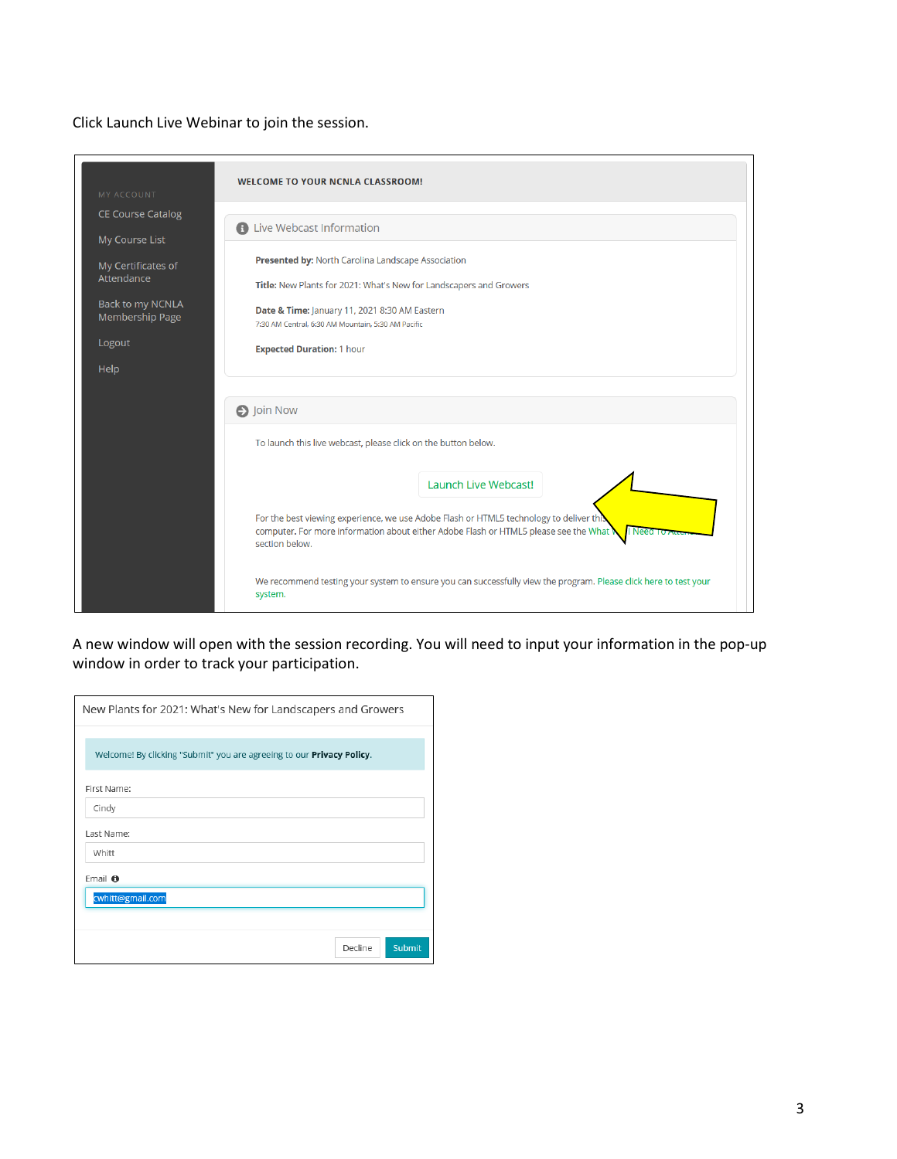### Click Launch Live Webinar to join the session.

| MY ACCOUNT                                                                          | <b>WELCOME TO YOUR NCNLA CLASSROOM!</b>                                                                                                                                                           |  |  |  |  |
|-------------------------------------------------------------------------------------|---------------------------------------------------------------------------------------------------------------------------------------------------------------------------------------------------|--|--|--|--|
| <b>CE Course Catalog</b><br>My Course List                                          | <b>A</b> Live Webcast Information                                                                                                                                                                 |  |  |  |  |
| My Certificates of<br>Attendance                                                    | Presented by: North Carolina Landscape Association<br>Title: New Plants for 2021: What's New for Landscapers and Growers                                                                          |  |  |  |  |
| Back to my NCNLA<br>Membership Page                                                 | Date & Time: January 11, 2021 8:30 AM Eastern<br>7:30 AM Central, 6:30 AM Mountain, 5:30 AM Pacific                                                                                               |  |  |  |  |
| Logout<br>Help                                                                      | <b>Expected Duration: 1 hour</b>                                                                                                                                                                  |  |  |  |  |
|                                                                                     |                                                                                                                                                                                                   |  |  |  |  |
| <b>O</b> Join Now<br>To launch this live webcast, please click on the button below. |                                                                                                                                                                                                   |  |  |  |  |
|                                                                                     | Launch Live Webcast!                                                                                                                                                                              |  |  |  |  |
|                                                                                     | For the best viewing experience, we use Adobe Flash or HTML5 technology to deliver this<br>computer. For more information about either Adobe Flash or HTML5 please see the What<br>section below. |  |  |  |  |
|                                                                                     | We recommend testing your system to ensure you can successfully view the program. Please click here to test your<br>system.                                                                       |  |  |  |  |

A new window will open with the session recording. You will need to input your information in the pop-up window in order to track your participation.

| New Plants for 2021: What's New for Landscapers and Growers                   |
|-------------------------------------------------------------------------------|
|                                                                               |
| Welcome! By clicking "Submit" you are agreeing to our <b>Privacy Policy</b> . |
| First Name:                                                                   |
| Cindy                                                                         |
| Last Name:                                                                    |
| Whitt                                                                         |
| Email <b>O</b>                                                                |
| cwhitt@gmail.com                                                              |
|                                                                               |
| Decline<br><b>Submit</b>                                                      |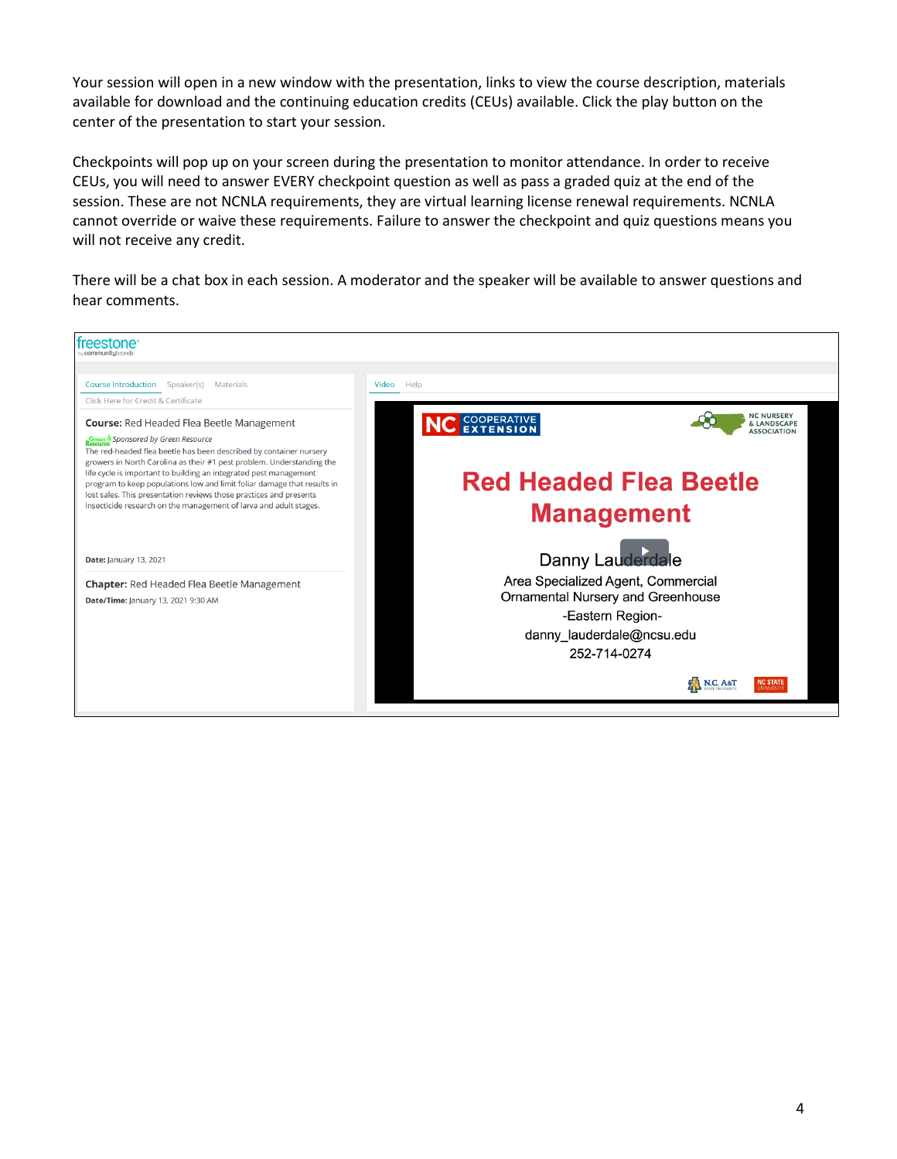Your session will open in a new window with the presentation, links to view the course description, materials available for download and the continuing education credits (CEUs) available. Click the play button on the center of the presentation to start your session.

Checkpoints will pop up on your screen during the presentation to monitor attendance. In order to receive CEUs, you will need to answer EVERY checkpoint question as well as pass a graded quiz at the end of the session. These are not NCNLA requirements, they are virtual learning license renewal requirements. NCNLA cannot override or waive these requirements. Failure to answer the checkpoint and quiz questions means you will not receive any credit.

There will be a chat box in each session. A moderator and the speaker will be available to answer questions and hear comments.